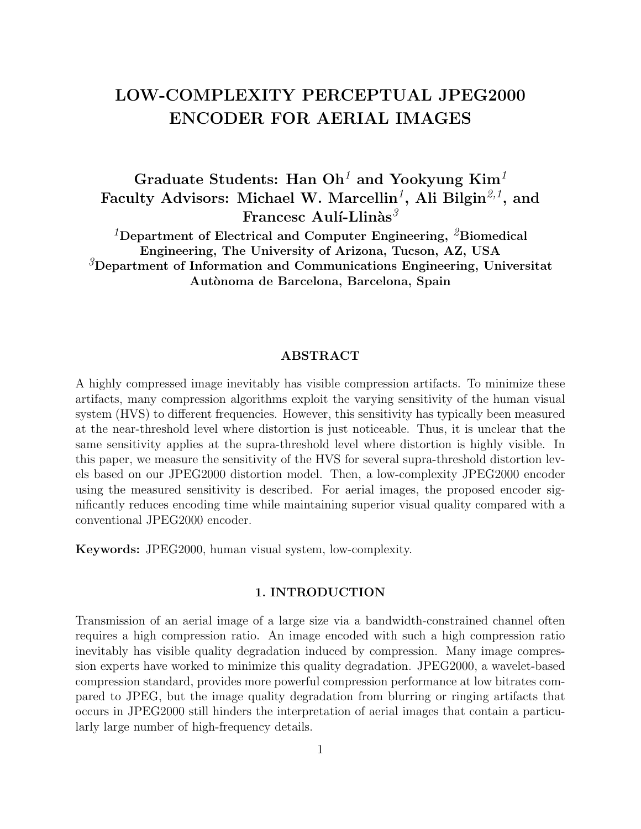# LOW-COMPLEXITY PERCEPTUAL JPEG2000 ENCODER FOR AERIAL IMAGES

Graduate Students: Han  $Oh<sup>1</sup>$  and Yookyung Kim<sup>1</sup> Faculty Advisors: Michael W. Marcellin<sup>1</sup>, Ali Bilgin<sup>2,1</sup>, and Francesc Aulí-Llinàs ${}^{3}$ 

<sup>1</sup>Department of Electrical and Computer Engineering, <sup>2</sup>Biomedical Engineering, The University of Arizona, Tucson, AZ, USA <sup>3</sup>Department of Information and Communications Engineering, Universitat Autònoma de Barcelona, Barcelona, Spain

#### ABSTRACT

A highly compressed image inevitably has visible compression artifacts. To minimize these artifacts, many compression algorithms exploit the varying sensitivity of the human visual system (HVS) to different frequencies. However, this sensitivity has typically been measured at the near-threshold level where distortion is just noticeable. Thus, it is unclear that the same sensitivity applies at the supra-threshold level where distortion is highly visible. In this paper, we measure the sensitivity of the HVS for several supra-threshold distortion levels based on our JPEG2000 distortion model. Then, a low-complexity JPEG2000 encoder using the measured sensitivity is described. For aerial images, the proposed encoder significantly reduces encoding time while maintaining superior visual quality compared with a conventional JPEG2000 encoder.

Keywords: JPEG2000, human visual system, low-complexity.

### 1. INTRODUCTION

Transmission of an aerial image of a large size via a bandwidth-constrained channel often requires a high compression ratio. An image encoded with such a high compression ratio inevitably has visible quality degradation induced by compression. Many image compression experts have worked to minimize this quality degradation. JPEG2000, a wavelet-based compression standard, provides more powerful compression performance at low bitrates compared to JPEG, but the image quality degradation from blurring or ringing artifacts that occurs in JPEG2000 still hinders the interpretation of aerial images that contain a particularly large number of high-frequency details.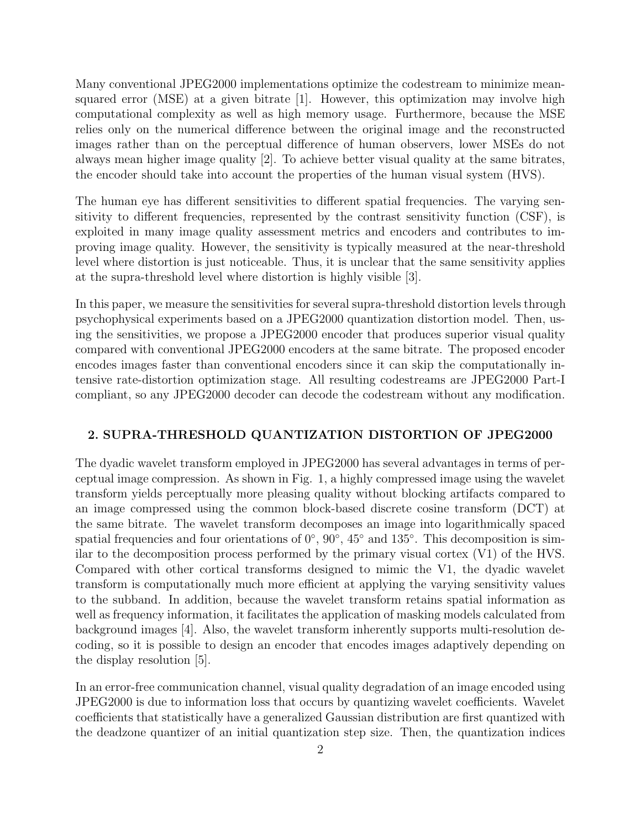Many conventional JPEG2000 implementations optimize the codestream to minimize meansquared error (MSE) at a given bitrate  $[1]$ . However, this optimization may involve high computational complexity as well as high memory usage. Furthermore, because the MSE relies only on the numerical difference between the original image and the reconstructed images rather than on the perceptual difference of human observers, lower MSEs do not always mean higher image quality [2]. To achieve better visual quality at the same bitrates, the encoder should take into account the properties of the human visual system (HVS).

The human eye has different sensitivities to different spatial frequencies. The varying sensitivity to different frequencies, represented by the contrast sensitivity function (CSF), is exploited in many image quality assessment metrics and encoders and contributes to improving image quality. However, the sensitivity is typically measured at the near-threshold level where distortion is just noticeable. Thus, it is unclear that the same sensitivity applies at the supra-threshold level where distortion is highly visible [3].

In this paper, we measure the sensitivities for several supra-threshold distortion levels through psychophysical experiments based on a JPEG2000 quantization distortion model. Then, using the sensitivities, we propose a JPEG2000 encoder that produces superior visual quality compared with conventional JPEG2000 encoders at the same bitrate. The proposed encoder encodes images faster than conventional encoders since it can skip the computationally intensive rate-distortion optimization stage. All resulting codestreams are JPEG2000 Part-I compliant, so any JPEG2000 decoder can decode the codestream without any modification.

#### 2. SUPRA-THRESHOLD QUANTIZATION DISTORTION OF JPEG2000

The dyadic wavelet transform employed in JPEG2000 has several advantages in terms of perceptual image compression. As shown in Fig. 1, a highly compressed image using the wavelet transform yields perceptually more pleasing quality without blocking artifacts compared to an image compressed using the common block-based discrete cosine transform (DCT) at the same bitrate. The wavelet transform decomposes an image into logarithmically spaced spatial frequencies and four orientations of  $0^{\circ}$ ,  $90^{\circ}$ ,  $45^{\circ}$  and  $135^{\circ}$ . This decomposition is similar to the decomposition process performed by the primary visual cortex (V1) of the HVS. Compared with other cortical transforms designed to mimic the V1, the dyadic wavelet transform is computationally much more efficient at applying the varying sensitivity values to the subband. In addition, because the wavelet transform retains spatial information as well as frequency information, it facilitates the application of masking models calculated from background images [4]. Also, the wavelet transform inherently supports multi-resolution decoding, so it is possible to design an encoder that encodes images adaptively depending on the display resolution [5].

In an error-free communication channel, visual quality degradation of an image encoded using JPEG2000 is due to information loss that occurs by quantizing wavelet coefficients. Wavelet coefficients that statistically have a generalized Gaussian distribution are first quantized with the deadzone quantizer of an initial quantization step size. Then, the quantization indices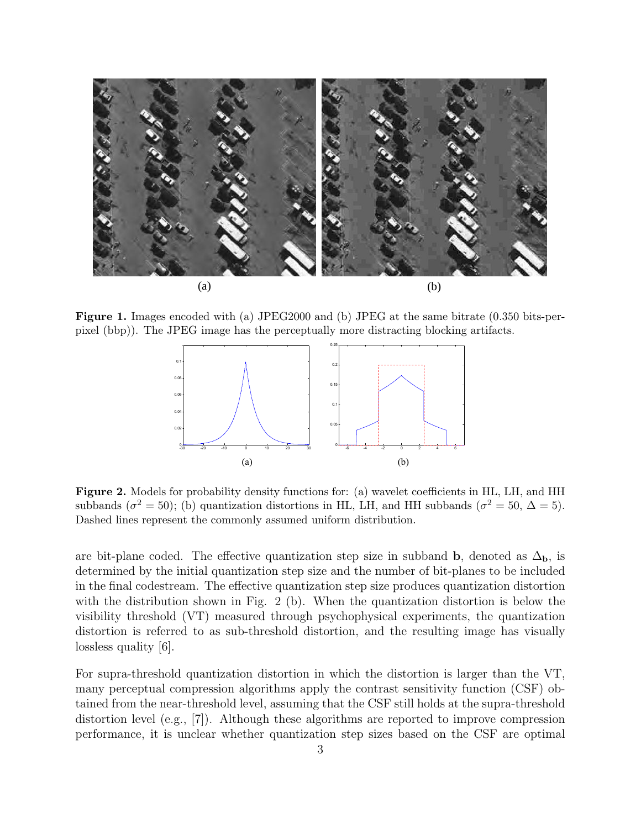

Figure 1. Images encoded with (a) JPEG2000 and (b) JPEG at the same bitrate (0.350 bits-perpixel (bbp)). The JPEG image has the perceptually more distracting blocking artifacts.



 $\overline{C}$ subbands ( $\sigma^2 = 50$ ); (b) quantization distortions in HL, LH, and HH subbands ( $\sigma^2 = 50$ ,  $\Delta = 5$ ). Figure 2. Models for probability density functions for: (a) wavelet coefficients in HL, LH, and HH Dashed lines represent the commonly assumed uniform distribution.

are bit-plane coded. The effective quantization step size in subband b, denoted as  $\Delta_{\bf b}$ , is determined by the initial quantization step size and the number of bit-planes to be included in the final codestream. The effective quantization step size produces quantization distortion with the distribution shown in Fig. 2 (b). When the quantization distortion is below the visibility threshold (VT) measured through psychophysical experiments, the quantization distortion is referred to as sub-threshold distortion, and the resulting image has visually lossless quality [6].

For supra-threshold quantization distortion in which the distortion is larger than the VT, many perceptual compression algorithms apply the contrast sensitivity function (CSF) obtained from the near-threshold level, assuming that the CSF still holds at the supra-threshold distortion level (e.g., [7]). Although these algorithms are reported to improve compression performance, it is unclear whether quantization step sizes based on the CSF are optimal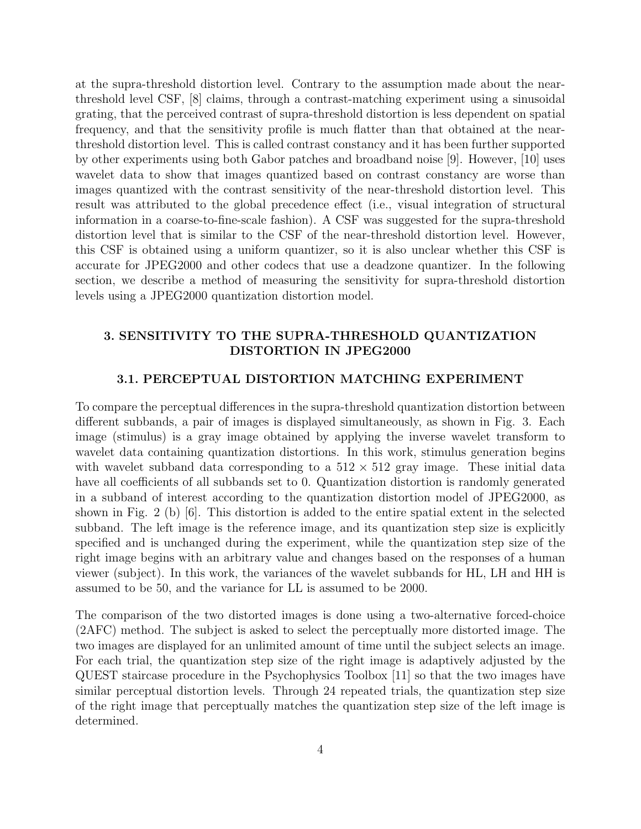at the supra-threshold distortion level. Contrary to the assumption made about the nearthreshold level CSF, [8] claims, through a contrast-matching experiment using a sinusoidal grating, that the perceived contrast of supra-threshold distortion is less dependent on spatial frequency, and that the sensitivity profile is much flatter than that obtained at the nearthreshold distortion level. This is called contrast constancy and it has been further supported by other experiments using both Gabor patches and broadband noise [9]. However, [10] uses wavelet data to show that images quantized based on contrast constancy are worse than images quantized with the contrast sensitivity of the near-threshold distortion level. This result was attributed to the global precedence effect (i.e., visual integration of structural information in a coarse-to-fine-scale fashion). A CSF was suggested for the supra-threshold distortion level that is similar to the CSF of the near-threshold distortion level. However, this CSF is obtained using a uniform quantizer, so it is also unclear whether this CSF is accurate for JPEG2000 and other codecs that use a deadzone quantizer. In the following section, we describe a method of measuring the sensitivity for supra-threshold distortion levels using a JPEG2000 quantization distortion model.

# 3. SENSITIVITY TO THE SUPRA-THRESHOLD QUANTIZATION DISTORTION IN JPEG2000

## 3.1. PERCEPTUAL DISTORTION MATCHING EXPERIMENT

To compare the perceptual differences in the supra-threshold quantization distortion between different subbands, a pair of images is displayed simultaneously, as shown in Fig. 3. Each image (stimulus) is a gray image obtained by applying the inverse wavelet transform to wavelet data containing quantization distortions. In this work, stimulus generation begins with wavelet subband data corresponding to a  $512 \times 512$  gray image. These initial data have all coefficients of all subbands set to 0. Quantization distortion is randomly generated in a subband of interest according to the quantization distortion model of JPEG2000, as shown in Fig. 2 (b) [6]. This distortion is added to the entire spatial extent in the selected subband. The left image is the reference image, and its quantization step size is explicitly specified and is unchanged during the experiment, while the quantization step size of the right image begins with an arbitrary value and changes based on the responses of a human viewer (subject). In this work, the variances of the wavelet subbands for HL, LH and HH is assumed to be 50, and the variance for LL is assumed to be 2000.

The comparison of the two distorted images is done using a two-alternative forced-choice (2AFC) method. The subject is asked to select the perceptually more distorted image. The two images are displayed for an unlimited amount of time until the subject selects an image. For each trial, the quantization step size of the right image is adaptively adjusted by the QUEST staircase procedure in the Psychophysics Toolbox [11] so that the two images have similar perceptual distortion levels. Through 24 repeated trials, the quantization step size of the right image that perceptually matches the quantization step size of the left image is determined.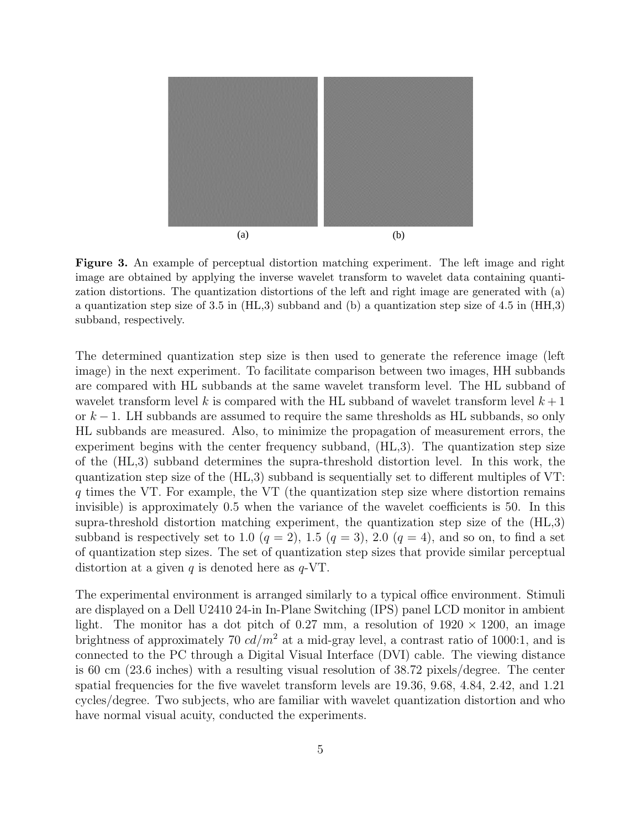

Figure 3. An example of perceptual distortion matching experiment. The left image and right obtained by applying the inverse wavelet the inverse wavelet the inverse wavelet data containing  $\alpha$ image are obtained by applying the inverse wavelet transform to wavelet data containing quantization distortions. The quantization distortions of the left and right image are generated with (a) a quantization step size of 3.5 in (HL,3) subband and (b) a quantization step size of 4.5 in (HH,3) subband, respectively.

The determined quantization step size is then used to generate the reference image (left image) in the next experiment. To facilitate comparison between two images, HH subbands are compared with HL subbands at the same wavelet transform level. The HL subband of wavelet transform level k is compared with the HL subband of wavelet transform level  $k+1$ or  $k-1$ . LH subbands are assumed to require the same thresholds as HL subbands, so only HL subbands are measured. Also, to minimize the propagation of measurement errors, the experiment begins with the center frequency subband, (HL,3). The quantization step size of the (HL,3) subband determines the supra-threshold distortion level. In this work, the quantization step size of the (HL,3) subband is sequentially set to different multiples of VT: q times the VT. For example, the VT (the quantization step size where distortion remains invisible) is approximately 0.5 when the variance of the wavelet coefficients is 50. In this supra-threshold distortion matching experiment, the quantization step size of the (HL,3) subband is respectively set to 1.0  $(q = 2)$ , 1.5  $(q = 3)$ , 2.0  $(q = 4)$ , and so on, to find a set of quantization step sizes. The set of quantization step sizes that provide similar perceptual distortion at a given q is denoted here as  $q$ -VT.

The experimental environment is arranged similarly to a typical office environment. Stimuli are displayed on a Dell U2410 24-in In-Plane Switching (IPS) panel LCD monitor in ambient light. The monitor has a dot pitch of 0.27 mm, a resolution of  $1920 \times 1200$ , an image brightness of approximately 70  $cd/m^2$  at a mid-gray level, a contrast ratio of 1000:1, and is connected to the PC through a Digital Visual Interface (DVI) cable. The viewing distance is 60 cm (23.6 inches) with a resulting visual resolution of 38.72 pixels/degree. The center spatial frequencies for the five wavelet transform levels are 19.36, 9.68, 4.84, 2.42, and 1.21 cycles/degree. Two subjects, who are familiar with wavelet quantization distortion and who have normal visual acuity, conducted the experiments.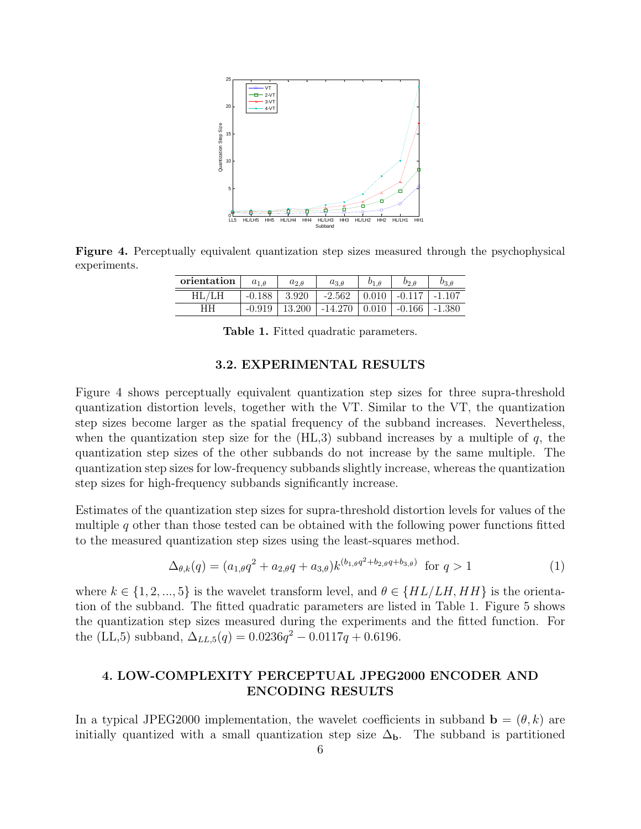

Figure 4. Perceptually equivalent quantization step sizes measured through the psychophysical experiments.

| orientation | $a_{1,0}$ | $a_{2,\theta}$ | $a_{3,\theta}$                                              | $o_{2,\theta}$                           | Oз A |
|-------------|-----------|----------------|-------------------------------------------------------------|------------------------------------------|------|
| HL/LH       | $-0.188$  | 3.920          | $-2.562$                                                    | $\mid$ 0.010 $\mid$ -0.117 $\mid$ -1.107 |      |
| HН          | $-0.919$  | 13.200         | $\vert$ -14.270 $\vert$ 0.010 $\vert$ -0.166 $\vert$ -1.380 |                                          |      |

Table 1. Fitted quadratic parameters.

#### 3.2. EXPERIMENTAL RESULTS

Figure 4 shows perceptually equivalent quantization step sizes for three supra-threshold quantization distortion levels, together with the VT. Similar to the VT, the quantization step sizes become larger as the spatial frequency of the subband increases. Nevertheless, when the quantization step size for the  $(HL,3)$  subband increases by a multiple of q, the quantization step sizes of the other subbands do not increase by the same multiple. The quantization step sizes for low-frequency subbands slightly increase, whereas the quantization step sizes for high-frequency subbands significantly increase.

Estimates of the quantization step sizes for supra-threshold distortion levels for values of the multiple  $q$  other than those tested can be obtained with the following power functions fitted to the measured quantization step sizes using the least-squares method.

$$
\Delta_{\theta,k}(q) = (a_{1,\theta}q^2 + a_{2,\theta}q + a_{3,\theta})k^{(b_{1,\theta}q^2 + b_{2,\theta}q + b_{3,\theta})} \text{ for } q > 1
$$
 (1)

where  $k \in \{1, 2, ..., 5\}$  is the wavelet transform level, and  $\theta \in \{HL/LH, HH\}$  is the orientation of the subband. The fitted quadratic parameters are listed in Table 1. Figure 5 shows the quantization step sizes measured during the experiments and the fitted function. For the (LL,5) subband,  $\Delta_{LL,5}(q) = 0.0236q^2 - 0.0117q + 0.6196$ .

# 4. LOW-COMPLEXITY PERCEPTUAL JPEG2000 ENCODER AND ENCODING RESULTS

In a typical JPEG2000 implementation, the wavelet coefficients in subband  $\mathbf{b} = (\theta, k)$  are initially quantized with a small quantization step size  $\Delta_{\bf b}$ . The subband is partitioned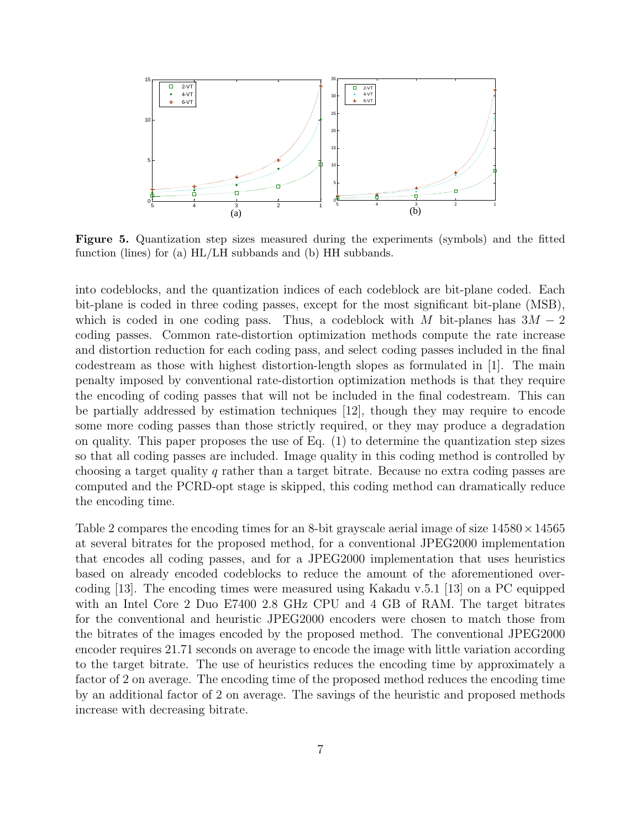

Figure 5. Quantization step sizes measured during the experiments (symbols) and the fitted function (lines) for (a) HL/LH subbands and (b) HH subbands.

into codeblocks, and the quantization indices of each codeblock are bit-plane coded. Each bit-plane is coded in three coding passes, except for the most significant bit-plane (MSB), which is coded in one coding pass. Thus, a codeblock with M bit-planes has  $3M - 2$ coding passes. Common rate-distortion optimization methods compute the rate increase and distortion reduction for each coding pass, and select coding passes included in the final codestream as those with highest distortion-length slopes as formulated in [1]. The main penalty imposed by conventional rate-distortion optimization methods is that they require the encoding of coding passes that will not be included in the final codestream. This can be partially addressed by estimation techniques [12], though they may require to encode some more coding passes than those strictly required, or they may produce a degradation on quality. This paper proposes the use of Eq.  $(1)$  to determine the quantization step sizes so that all coding passes are included. Image quality in this coding method is controlled by choosing a target quality q rather than a target bitrate. Because no extra coding passes are computed and the PCRD-opt stage is skipped, this coding method can dramatically reduce the encoding time.

Table 2 compares the encoding times for an 8-bit grayscale aerial image of size  $14580 \times 14565$ at several bitrates for the proposed method, for a conventional JPEG2000 implementation that encodes all coding passes, and for a JPEG2000 implementation that uses heuristics based on already encoded codeblocks to reduce the amount of the aforementioned overcoding [13]. The encoding times were measured using Kakadu v.5.1 [13] on a PC equipped with an Intel Core 2 Duo E7400 2.8 GHz CPU and 4 GB of RAM. The target bitrates for the conventional and heuristic JPEG2000 encoders were chosen to match those from the bitrates of the images encoded by the proposed method. The conventional JPEG2000 encoder requires 21.71 seconds on average to encode the image with little variation according to the target bitrate. The use of heuristics reduces the encoding time by approximately a factor of 2 on average. The encoding time of the proposed method reduces the encoding time by an additional factor of 2 on average. The savings of the heuristic and proposed methods increase with decreasing bitrate.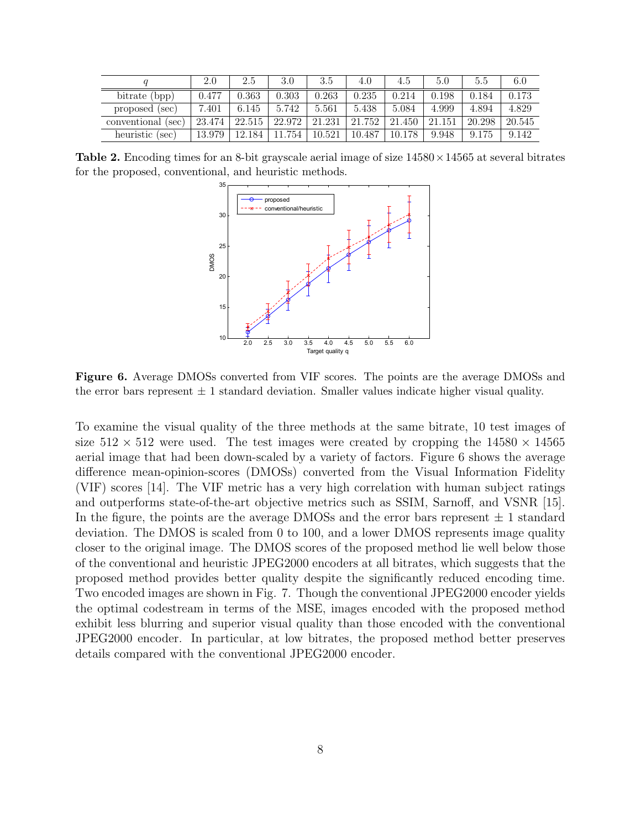|                    | 2.0    | 2.5    | 3.0    | 3.5    | 4.0         | 4.5    | 5.0    | 5.5    | 6.0    |
|--------------------|--------|--------|--------|--------|-------------|--------|--------|--------|--------|
| bitrate (bpp)      | 0.477  | 0.363  | 0.303  | 0.263  | $\rm 0.235$ | 0.214  | 0.198  | 0.184  | 0.173  |
| proposed (sec)     | 7.401  | 6.145  | 5.742  | 5.561  | 5.438       | 5.084  | 4.999  | 4.894  | 4.829  |
| conventional (sec) | 23.474 | 22.515 | 22.972 | 21.231 | 21.752      | 21.450 | 21.151 | 20.298 | 20.545 |
| heuristic (sec)    | 13.979 | 12.184 | 754    | 10.521 | 10.487      | 10.178 | 9.948  | 9.175  | 9.142  |

**Table 2.** Encoding times for an 8-bit grayscale aerial image of size  $14580 \times 14565$  at several bitrates for the proposed, conventional, and heuristic methods.



Figure 6. Average DMOSs converted from VIF scores. The points are the average DMOSs and the error bars represent  $\pm 1$  standard deviation. Smaller values indicate higher visual quality.

To examine the visual quality of the three methods at the same bitrate, 10 test images of size  $512 \times 512$  were used. The test images were created by cropping the  $14580 \times 14565$ aerial image that had been down-scaled by a variety of factors. Figure 6 shows the average difference mean-opinion-scores (DMOSs) converted from the Visual Information Fidelity (VIF) scores [14]. The VIF metric has a very high correlation with human subject ratings and outperforms state-of-the-art objective metrics such as SSIM, Sarnoff, and VSNR [15]. In the figure, the points are the average DMOSs and the error bars represent  $\pm$  1 standard deviation. The DMOS is scaled from 0 to 100, and a lower DMOS represents image quality closer to the original image. The DMOS scores of the proposed method lie well below those of the conventional and heuristic JPEG2000 encoders at all bitrates, which suggests that the proposed method provides better quality despite the significantly reduced encoding time. Two encoded images are shown in Fig. 7. Though the conventional JPEG2000 encoder yields the optimal codestream in terms of the MSE, images encoded with the proposed method exhibit less blurring and superior visual quality than those encoded with the conventional JPEG2000 encoder. In particular, at low bitrates, the proposed method better preserves details compared with the conventional JPEG2000 encoder.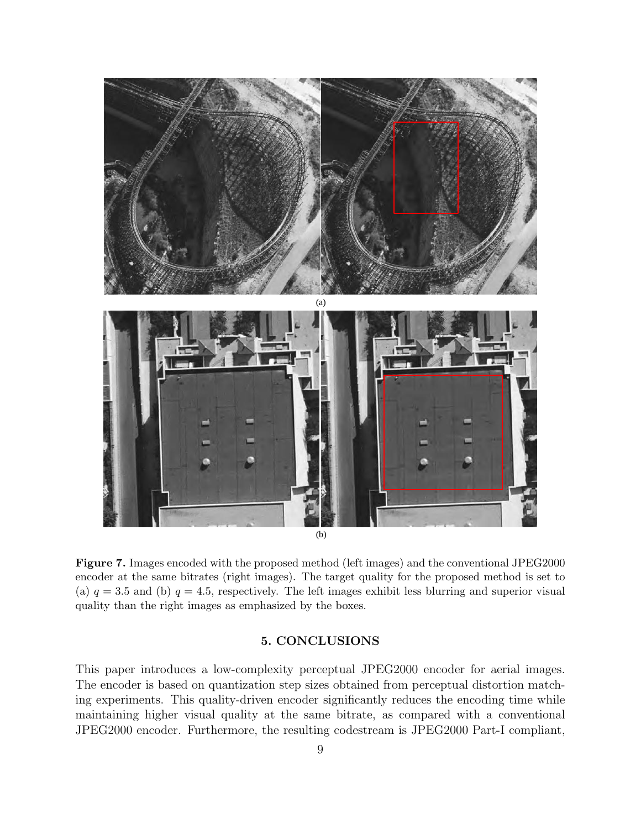

Figure 7. Images encoded with the proposed method (left images) and the conventional JPEG2000 encoder at the same bitrates (right images). The target quality for the proposed method is set to (a)  $q = 3.5$  and (b)  $q = 4.5$ , respectively. The left images exhibit less blurring and superior visual quality than the right images as emphasized by the boxes.

## 5. CONCLUSIONS

This paper introduces a low-complexity perceptual JPEG2000 encoder for aerial images. The encoder is based on quantization step sizes obtained from perceptual distortion matching experiments. This quality-driven encoder significantly reduces the encoding time while maintaining higher visual quality at the same bitrate, as compared with a conventional JPEG2000 encoder. Furthermore, the resulting codestream is JPEG2000 Part-I compliant,